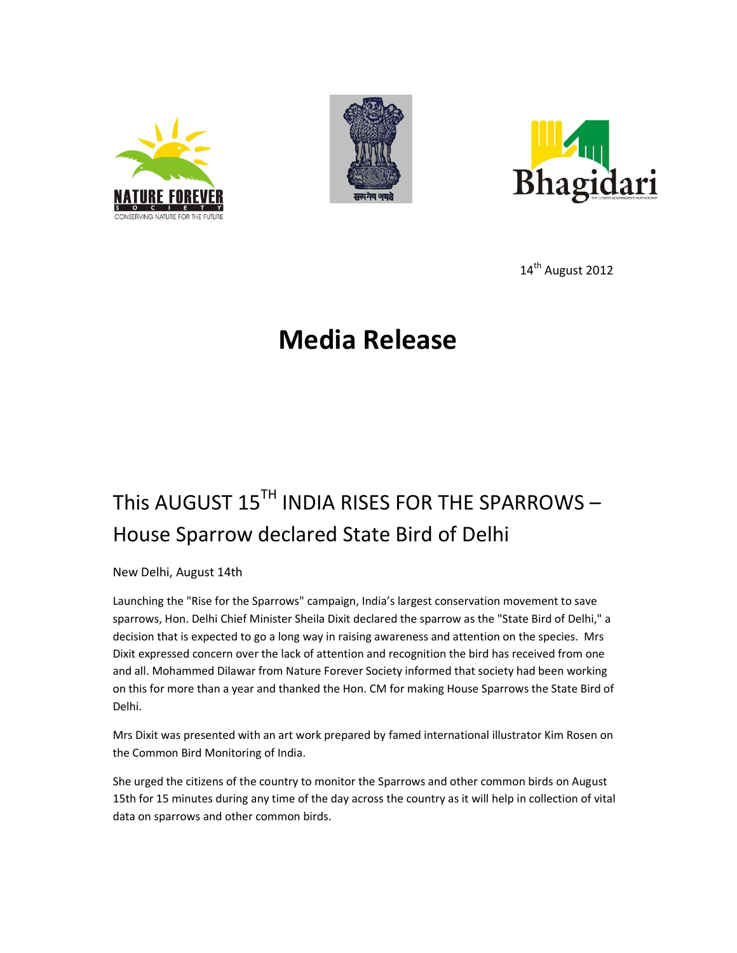





14<sup>th</sup> August 2012

## **Media Release**

# This AUGUST 15<sup>TH</sup> INDIA RISES FOR THE SPARROWS -House Sparrow declared State Bird of Delhi

New Delhi, August 14th

Launching the "Rise for the Sparrows" campaign, India's largest conservation movement to save sparrows, Hon. Delhi Chief Minister Sheila Dixit declared the sparrow as the "State Bird of Delhi," a decision that is expected to go a long way in raising awareness and attention on the species. Mrs Dixit expressed concern over the lack of attention and recognition the bird has received from one and all. Mohammed Dilawar from Nature Forever Society informed that society had been working on this for more than a year and thanked the Hon. CM for making House Sparrows the State Bird of Delhi.

Mrs Dixit was presented with an art work prepared by famed international illustrator Kim Rosen on the Common Bird Monitoring of India.

She urged the citizens of the country to monitor the Sparrows and other common birds on August 15th for 15 minutes during any time of the day across the country as it will help in collection of vital data on sparrows and other common birds.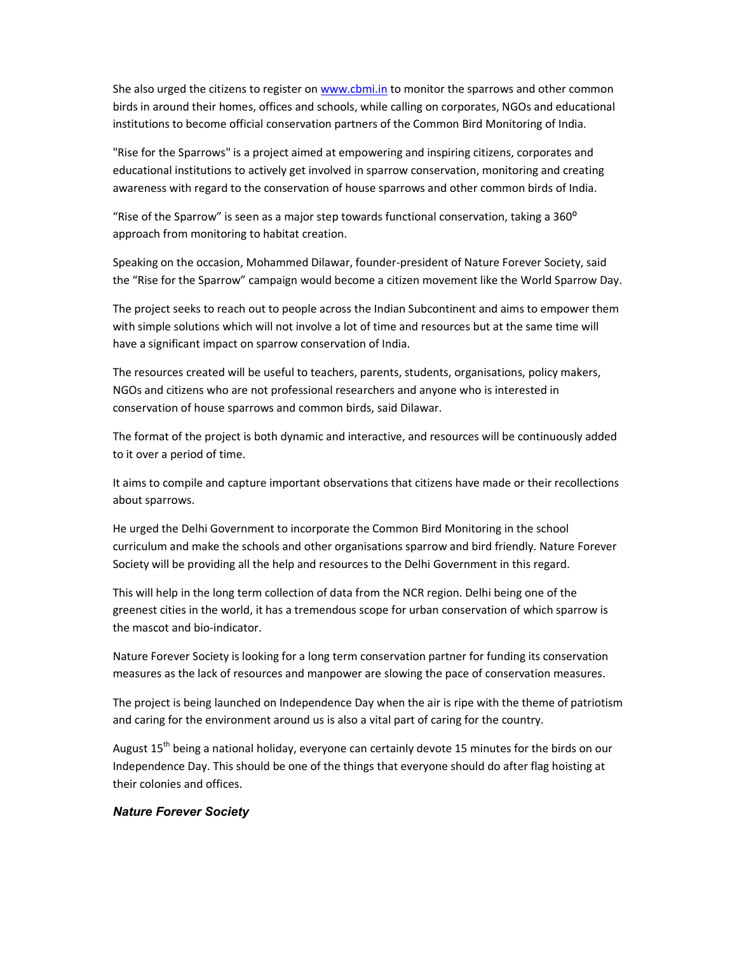She also urged the citizens to register on www.cbmi.in to monitor the sparrows and other common birds in around their homes, offices and schools, while calling on corporates, NGOs and educational institutions to become official conservation partners of the Common Bird Monitoring of India.

"Rise for the Sparrows" is a project aimed at empowering and inspiring citizens, corporates and educational institutions to actively get involved in sparrow conservation, monitoring and creating awareness with regard to the conservation of house sparrows and other common birds of India.

"Rise of the Sparrow" is seen as a major step towards functional conservation, taking a 360° approach from monitoring to habitat creation.

Speaking on the occasion, Mohammed Dilawar, founder-president of Nature Forever Society, said the "Rise for the Sparrow" campaign would become a citizen movement like the World Sparrow Day.

The project seeks to reach out to people across the Indian Subcontinent and aims to empower them with simple solutions which will not involve a lot of time and resources but at the same time will have a significant impact on sparrow conservation of India.

The resources created will be useful to teachers, parents, students, organisations, policy makers, NGOs and citizens who are not professional researchers and anyone who is interested in conservation of house sparrows and common birds, said Dilawar.

The format of the project is both dynamic and interactive, and resources will be continuously added to it over a period of time.

It aims to compile and capture important observations that citizens have made or their recollections about sparrows.

He urged the Delhi Government to incorporate the Common Bird Monitoring in the school curriculum and make the schools and other organisations sparrow and bird friendly. Nature Forever Society will be providing all the help and resources to the Delhi Government in this regard.

This will help in the long term collection of data from the NCR region. Delhi being one of the greenest cities in the world, it has a tremendous scope for urban conservation of which sparrow is the mascot and bio-indicator.

Nature Forever Society is looking for a long term conservation partner for funding its conservation measures as the lack of resources and manpower are slowing the pace of conservation measures.

The project is being launched on Independence Day when the air is ripe with the theme of patriotism and caring for the environment around us is also a vital part of caring for the country.

August 15<sup>th</sup> being a national holiday, everyone can certainly devote 15 minutes for the birds on our Independence Day. This should be one of the things that everyone should do after flag hoisting at their colonies and offices.

#### *Nature Forever Society*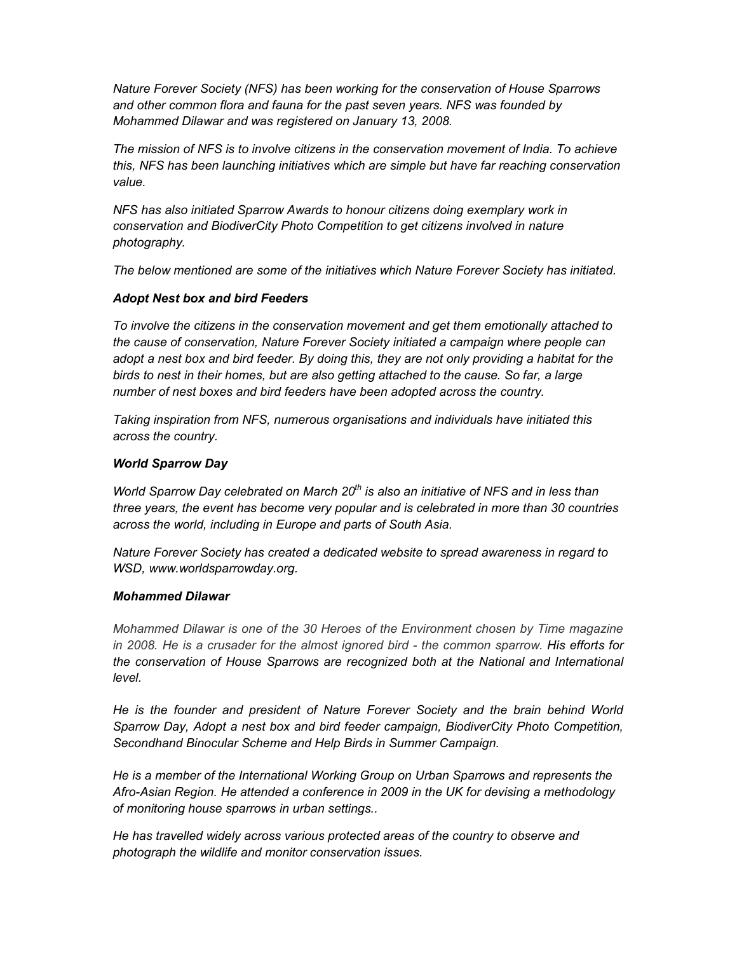*Nature Forever Society (NFS) has been working for the conservation of House Sparrows and other common flora and fauna for the past seven years. NFS was founded by Mohammed Dilawar and was registered on January 13, 2008.* 

*The mission of NFS is to involve citizens in the conservation movement of India. To achieve this, NFS has been launching initiatives which are simple but have far reaching conservation value.* 

*NFS has also initiated Sparrow Awards to honour citizens doing exemplary work in conservation and BiodiverCity Photo Competition to get citizens involved in nature photography.* 

*The below mentioned are some of the initiatives which Nature Forever Society has initiated.* 

## *Adopt Nest box and bird Feeders*

*To involve the citizens in the conservation movement and get them emotionally attached to the cause of conservation, Nature Forever Society initiated a campaign where people can adopt a nest box and bird feeder. By doing this, they are not only providing a habitat for the birds to nest in their homes, but are also getting attached to the cause. So far, a large number of nest boxes and bird feeders have been adopted across the country.* 

*Taking inspiration from NFS, numerous organisations and individuals have initiated this across the country.* 

### *World Sparrow Day*

*World Sparrow Day celebrated on March 20th is also an initiative of NFS and in less than three years, the event has become very popular and is celebrated in more than 30 countries across the world, including in Europe and parts of South Asia.* 

*Nature Forever Society has created a dedicated website to spread awareness in regard to WSD, www.worldsparrowday.org.* 

#### *Mohammed Dilawar*

*Mohammed Dilawar is one of the 30 Heroes of the Environment chosen by Time magazine in 2008. He is a crusader for the almost ignored bird - the common sparrow. His efforts for the conservation of House Sparrows are recognized both at the National and International level.* 

*He is the founder and president of Nature Forever Society and the brain behind World Sparrow Day, Adopt a nest box and bird feeder campaign, BiodiverCity Photo Competition, Secondhand Binocular Scheme and Help Birds in Summer Campaign.* 

*He is a member of the International Working Group on Urban Sparrows and represents the Afro-Asian Region. He attended a conference in 2009 in the UK for devising a methodology of monitoring house sparrows in urban settings..* 

*He has travelled widely across various protected areas of the country to observe and photograph the wildlife and monitor conservation issues.*